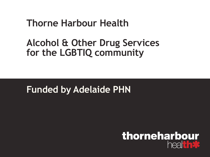## **Thorne Harbour Health**

## **Alcohol & Other Drug Services for the LGBTIQ community**

## **Funded by Adelaide PHN**

### thorneharbour heal that's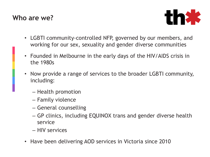#### **Who are we?**



- LGBTI community-controlled NFP, governed by our members, and working for our sex, sexuality and gender diverse communities
- Founded in Melbourne in the early days of the HIV/AIDS crisis in the 1980s
- Now provide a range of services to the broader LGBTI community, including:
	- Health promotion
	- Family violence
	- General counselling
	- GP clinics, including EQUINOX trans and gender diverse health service
	- HIV services
- Have been delivering AOD services in Victoria since 2010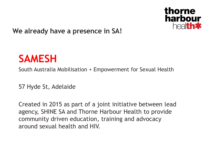

#### **We already have a presence in SA!**

# **SAMESH**

South Australia Mobilisation + Empowerment for Sexual Health

57 Hyde St, Adelaide

Created in 2015 as part of a joint initiative between lead agency, SHINE SA and Thorne Harbour Health to provide community driven education, training and advocacy around sexual health and HIV.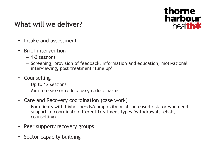

#### **What will we deliver?**

- Intake and assessment
- Brief intervention
	- $-1-3$  sessions
	- Screening, provision of feedback, information and education, motivational interviewing, post treatment 'tune up'
- Counselling
	- Up to 12 sessions
	- Aim to cease or reduce use, reduce harms
- Care and Recovery coordination (case work)
	- For clients with higher needs/complexity or at increased risk, or who need support to coordinate different treatment types (withdrawal, rehab, counselling)
- Peer support/recovery groups
- Sector capacity building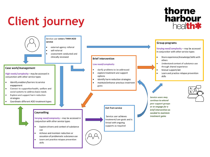# **Client journey**